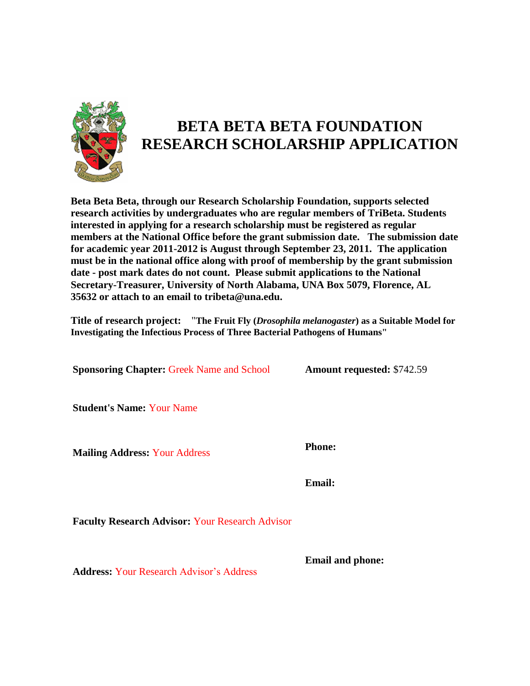

# **BETA BETA BETA FOUNDATION RESEARCH SCHOLARSHIP APPLICATION**

**Beta Beta Beta, through our Research Scholarship Foundation, supports selected research activities by undergraduates who are regular members of TriBeta. Students interested in applying for a research scholarship must be registered as regular members at the National Office before the grant submission date. The submission date for academic year 2011-2012 is August through September 23, 2011. The application must be in the national office along with proof of membership by the grant submission date - post mark dates do not count. Please submit applications to the National Secretary-Treasurer, University of North Alabama, UNA Box 5079, Florence, AL 35632 or attach to an email to tribeta@una.edu.**

**Title of research project:** "**The Fruit Fly (***Drosophila melanogaster***) as a Suitable Model for Investigating the Infectious Process of Three Bacterial Pathogens of Humans"**

**Sponsoring Chapter:** Greek Name and School **Amount requested:** \$742.59

**Student's Name:** Your Name

**Mailing Address:** Your Address **Phone:**

**Email:**

**Faculty Research Advisor:** Your Research Advisor

**Email and phone:**

**Address:** Your Research Advisor's Address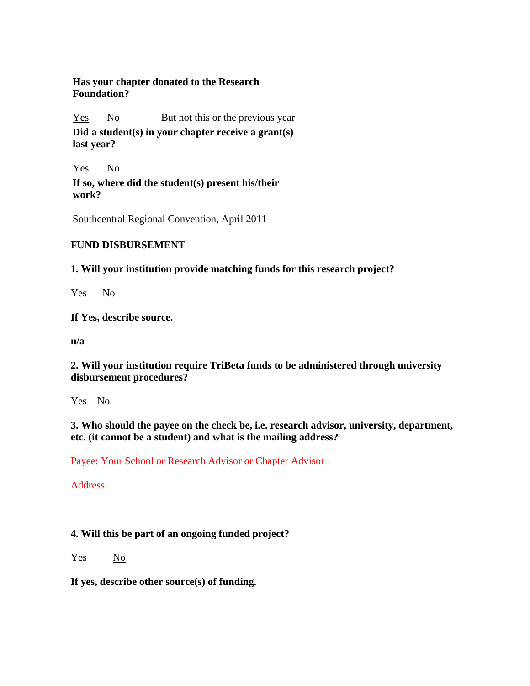### **Has your chapter donated to the Research Foundation?**

Yes No But not this or the previous year

**Did a student(s) in your chapter receive a grant(s) last year?**

Yes No **If so, where did the student(s) present his/their work?**

Southcentral Regional Convention, April 2011

# **FUND DISBURSEMENT**

**1. Will your institution provide matching funds for this research project?**

Yes No

**If Yes, describe source.** 

**n/a**

**2. Will your institution require TriBeta funds to be administered through university disbursement procedures?**

Yes No

**3. Who should the payee on the check be, i.e. research advisor, university, department, etc. (it cannot be a student) and what is the mailing address?**

Payee: Your School or Research Advisor or Chapter Advisor

Address:

# **4. Will this be part of an ongoing funded project?**

Yes No

**If yes, describe other source(s) of funding.**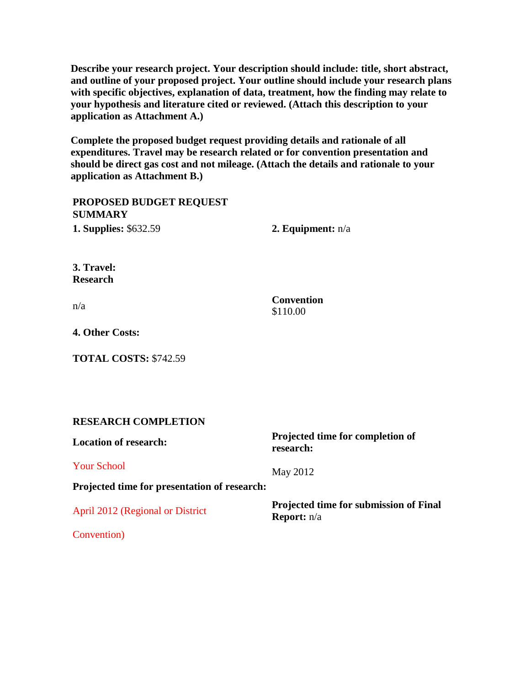**Describe your research project. Your description should include: title, short abstract, and outline of your proposed project. Your outline should include your research plans with specific objectives, explanation of data, treatment, how the finding may relate to your hypothesis and literature cited or reviewed. (Attach this description to your application as Attachment A.)** 

**Complete the proposed budget request providing details and rationale of all expenditures. Travel may be research related or for convention presentation and should be direct gas cost and not mileage. (Attach the details and rationale to your application as Attachment B.)**

**PROPOSED BUDGET REQUEST SUMMARY 1. Supplies:** \$632.59 **2. Equipment:** n/a

**3. Travel: Research**

n/a **Convention** \$110.00

May 2012

**4. Other Costs:**

**TOTAL COSTS:** \$742.59

### **RESEARCH COMPLETION**

**Location of research:**

Your School

**Projected time for completion of research:**

**Projected time for presentation of research:**

April 2012 (Regional or District

**Projected time for submission of Final Report:** n/a

Convention)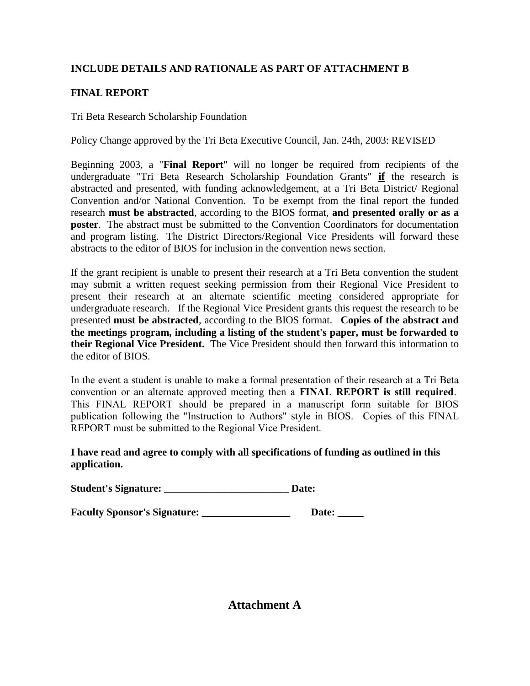# **INCLUDE DETAILS AND RATIONALE AS PART OF ATTACHMENT B**

# **FINAL REPORT**

### Tri Beta Research Scholarship Foundation

Policy Change approved by the Tri Beta Executive Council, Jan. 24th, 2003: REVISED

Beginning 2003, a "**Final Report**" will no longer be required from recipients of the undergraduate "Tri Beta Research Scholarship Foundation Grants" **if** the research is abstracted and presented, with funding acknowledgement, at a Tri Beta District/ Regional Convention and/or National Convention. To be exempt from the final report the funded research **must be abstracted**, according to the BIOS format, **and presented orally or as a poster**. The abstract must be submitted to the Convention Coordinators for documentation and program listing. The District Directors/Regional Vice Presidents will forward these abstracts to the editor of BIOS for inclusion in the convention news section.

If the grant recipient is unable to present their research at a Tri Beta convention the student may submit a written request seeking permission from their Regional Vice President to present their research at an alternate scientific meeting considered appropriate for undergraduate research. If the Regional Vice President grants this request the research to be presented **must be abstracted**, according to the BIOS format. **Copies of the abstract and the meetings program, including a listing of the student's paper, must be forwarded to their Regional Vice President.** The Vice President should then forward this information to the editor of BIOS.

In the event a student is unable to make a formal presentation of their research at a Tri Beta convention or an alternate approved meeting then a **FINAL REPORT is still required**. This FINAL REPORT should be prepared in a manuscript form suitable for BIOS publication following the "Instruction to Authors" style in BIOS. Copies of this FINAL REPORT must be submitted to the Regional Vice President.

### **I have read and agree to comply with all specifications of funding as outlined in this application.**

**Student's Signature: \_\_\_\_\_\_\_\_\_\_\_\_\_\_\_\_\_\_\_\_\_\_\_\_ Date:** 

**Faculty Sponsor's Signature: \_\_\_\_\_\_\_\_\_\_\_\_\_\_\_\_\_ Date: \_\_\_\_\_** 

**Attachment A**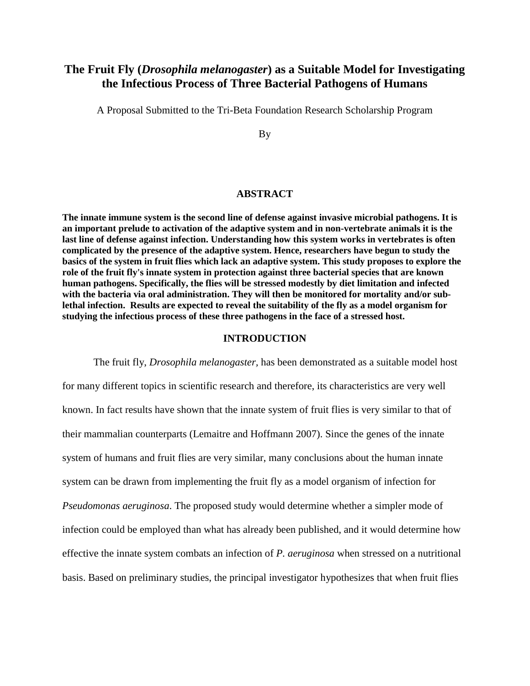# **The Fruit Fly (***Drosophila melanogaster***) as a Suitable Model for Investigating the Infectious Process of Three Bacterial Pathogens of Humans**

A Proposal Submitted to the Tri-Beta Foundation Research Scholarship Program

By

#### **ABSTRACT**

**The innate immune system is the second line of defense against invasive microbial pathogens. It is an important prelude to activation of the adaptive system and in non-vertebrate animals it is the last line of defense against infection. Understanding how this system works in vertebrates is often complicated by the presence of the adaptive system. Hence, researchers have begun to study the basics of the system in fruit flies which lack an adaptive system. This study proposes to explore the role of the fruit fly's innate system in protection against three bacterial species that are known human pathogens. Specifically, the flies will be stressed modestly by diet limitation and infected with the bacteria via oral administration. They will then be monitored for mortality and/or sublethal infection. Results are expected to reveal the suitability of the fly as a model organism for studying the infectious process of these three pathogens in the face of a stressed host.** 

#### **INTRODUCTION**

The fruit fly, *Drosophila melanogaster,* has been demonstrated as a suitable model host for many different topics in scientific research and therefore, its characteristics are very well known. In fact results have shown that the innate system of fruit flies is very similar to that of their mammalian counterparts (Lemaitre and Hoffmann 2007). Since the genes of the innate system of humans and fruit flies are very similar, many conclusions about the human innate system can be drawn from implementing the fruit fly as a model organism of infection for *Pseudomonas aeruginosa*. The proposed study would determine whether a simpler mode of infection could be employed than what has already been published, and it would determine how effective the innate system combats an infection of *P. aeruginosa* when stressed on a nutritional basis. Based on preliminary studies, the principal investigator hypothesizes that when fruit flies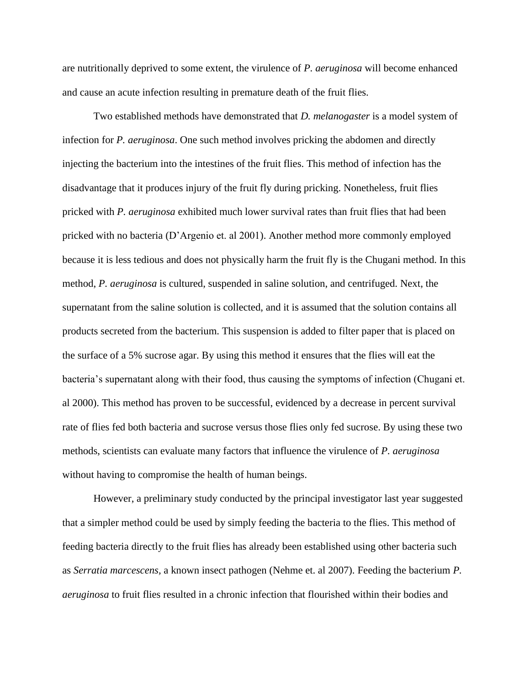are nutritionally deprived to some extent, the virulence of *P. aeruginosa* will become enhanced and cause an acute infection resulting in premature death of the fruit flies.

Two established methods have demonstrated that *D. melanogaster* is a model system of infection for *P. aeruginosa*. One such method involves pricking the abdomen and directly injecting the bacterium into the intestines of the fruit flies. This method of infection has the disadvantage that it produces injury of the fruit fly during pricking. Nonetheless, fruit flies pricked with *P. aeruginosa* exhibited much lower survival rates than fruit flies that had been pricked with no bacteria (D'Argenio et. al 2001). Another method more commonly employed because it is less tedious and does not physically harm the fruit fly is the Chugani method. In this method, *P. aeruginosa* is cultured, suspended in saline solution, and centrifuged. Next, the supernatant from the saline solution is collected, and it is assumed that the solution contains all products secreted from the bacterium. This suspension is added to filter paper that is placed on the surface of a 5% sucrose agar. By using this method it ensures that the flies will eat the bacteria's supernatant along with their food, thus causing the symptoms of infection (Chugani et. al 2000). This method has proven to be successful, evidenced by a decrease in percent survival rate of flies fed both bacteria and sucrose versus those flies only fed sucrose. By using these two methods, scientists can evaluate many factors that influence the virulence of *P. aeruginosa* without having to compromise the health of human beings.

However, a preliminary study conducted by the principal investigator last year suggested that a simpler method could be used by simply feeding the bacteria to the flies. This method of feeding bacteria directly to the fruit flies has already been established using other bacteria such as *Serratia marcescens,* a known insect pathogen (Nehme et. al 2007). Feeding the bacterium *P. aeruginosa* to fruit flies resulted in a chronic infection that flourished within their bodies and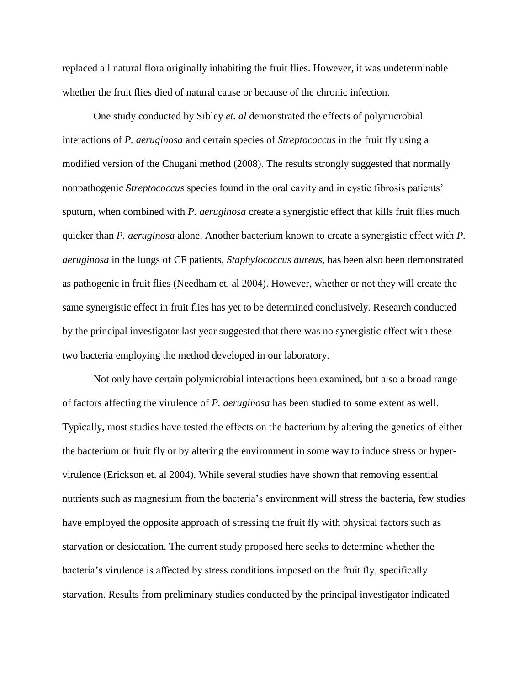replaced all natural flora originally inhabiting the fruit flies. However, it was undeterminable whether the fruit flies died of natural cause or because of the chronic infection.

One study conducted by Sibley *et. al* demonstrated the effects of polymicrobial interactions of *P. aeruginosa* and certain species of *Streptococcus* in the fruit fly using a modified version of the Chugani method (2008). The results strongly suggested that normally nonpathogenic *Streptococcus* species found in the oral cavity and in cystic fibrosis patients' sputum, when combined with *P. aeruginosa* create a synergistic effect that kills fruit flies much quicker than *P. aeruginosa* alone. Another bacterium known to create a synergistic effect with *P. aeruginosa* in the lungs of CF patients, *Staphylococcus aureus*, has been also been demonstrated as pathogenic in fruit flies (Needham et. al 2004). However, whether or not they will create the same synergistic effect in fruit flies has yet to be determined conclusively. Research conducted by the principal investigator last year suggested that there was no synergistic effect with these two bacteria employing the method developed in our laboratory.

Not only have certain polymicrobial interactions been examined, but also a broad range of factors affecting the virulence of *P. aeruginosa* has been studied to some extent as well. Typically, most studies have tested the effects on the bacterium by altering the genetics of either the bacterium or fruit fly or by altering the environment in some way to induce stress or hypervirulence (Erickson et. al 2004). While several studies have shown that removing essential nutrients such as magnesium from the bacteria's environment will stress the bacteria, few studies have employed the opposite approach of stressing the fruit fly with physical factors such as starvation or desiccation. The current study proposed here seeks to determine whether the bacteria's virulence is affected by stress conditions imposed on the fruit fly, specifically starvation. Results from preliminary studies conducted by the principal investigator indicated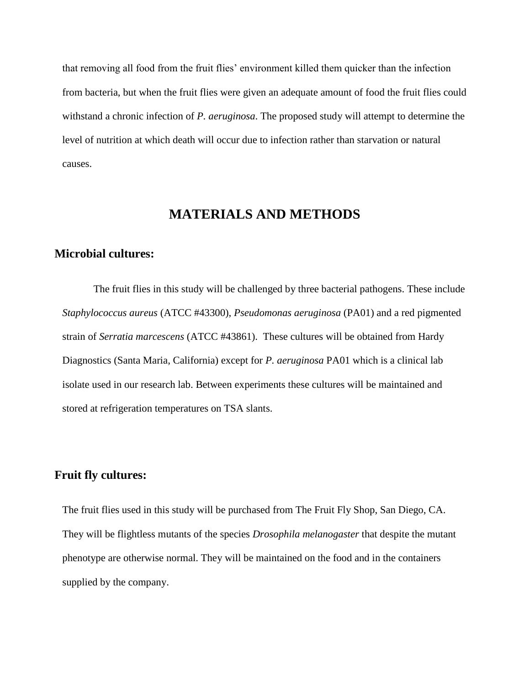that removing all food from the fruit flies' environment killed them quicker than the infection from bacteria, but when the fruit flies were given an adequate amount of food the fruit flies could withstand a chronic infection of *P. aeruginosa*. The proposed study will attempt to determine the level of nutrition at which death will occur due to infection rather than starvation or natural causes.

# **MATERIALS AND METHODS**

### **Microbial cultures:**

The fruit flies in this study will be challenged by three bacterial pathogens. These include *Staphylococcus aureus* (ATCC #43300), *Pseudomonas aeruginosa* (PA01) and a red pigmented strain of *Serratia marcescens* (ATCC #43861). These cultures will be obtained from Hardy Diagnostics (Santa Maria, California) except for *P. aeruginosa* PA01 which is a clinical lab isolate used in our research lab. Between experiments these cultures will be maintained and stored at refrigeration temperatures on TSA slants.

### **Fruit fly cultures:**

The fruit flies used in this study will be purchased from The Fruit Fly Shop, San Diego, CA. They will be flightless mutants of the species *Drosophila melanogaster* that despite the mutant phenotype are otherwise normal. They will be maintained on the food and in the containers supplied by the company.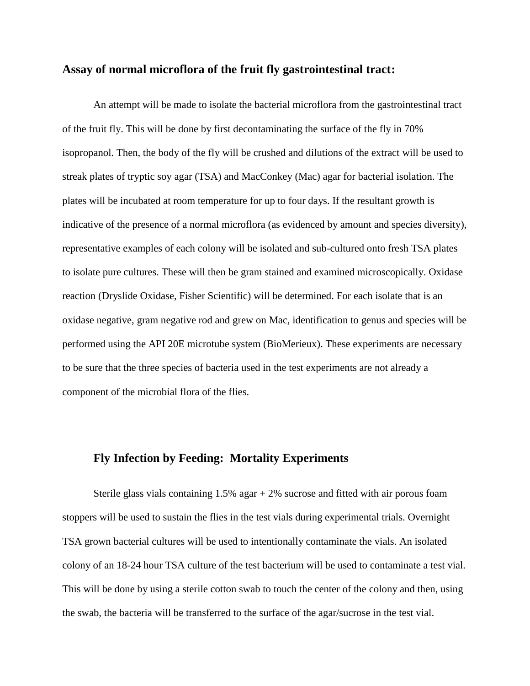### **Assay of normal microflora of the fruit fly gastrointestinal tract:**

An attempt will be made to isolate the bacterial microflora from the gastrointestinal tract of the fruit fly. This will be done by first decontaminating the surface of the fly in 70% isopropanol. Then, the body of the fly will be crushed and dilutions of the extract will be used to streak plates of tryptic soy agar (TSA) and MacConkey (Mac) agar for bacterial isolation. The plates will be incubated at room temperature for up to four days. If the resultant growth is indicative of the presence of a normal microflora (as evidenced by amount and species diversity), representative examples of each colony will be isolated and sub-cultured onto fresh TSA plates to isolate pure cultures. These will then be gram stained and examined microscopically. Oxidase reaction (Dryslide Oxidase, Fisher Scientific) will be determined. For each isolate that is an oxidase negative, gram negative rod and grew on Mac, identification to genus and species will be performed using the API 20E microtube system (BioMerieux). These experiments are necessary to be sure that the three species of bacteria used in the test experiments are not already a component of the microbial flora of the flies.

# **Fly Infection by Feeding: Mortality Experiments**

Sterile glass vials containing  $1.5\%$  agar  $+ 2\%$  sucrose and fitted with air porous foam stoppers will be used to sustain the flies in the test vials during experimental trials. Overnight TSA grown bacterial cultures will be used to intentionally contaminate the vials. An isolated colony of an 18-24 hour TSA culture of the test bacterium will be used to contaminate a test vial. This will be done by using a sterile cotton swab to touch the center of the colony and then, using the swab, the bacteria will be transferred to the surface of the agar/sucrose in the test vial.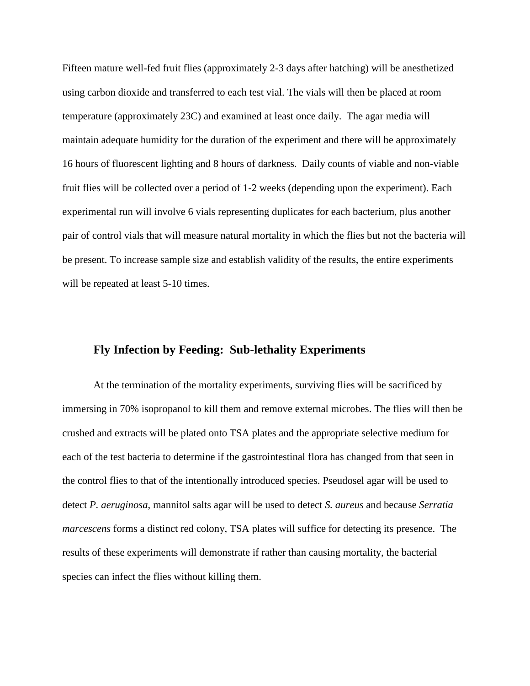Fifteen mature well-fed fruit flies (approximately 2-3 days after hatching) will be anesthetized using carbon dioxide and transferred to each test vial. The vials will then be placed at room temperature (approximately 23C) and examined at least once daily. The agar media will maintain adequate humidity for the duration of the experiment and there will be approximately 16 hours of fluorescent lighting and 8 hours of darkness. Daily counts of viable and non-viable fruit flies will be collected over a period of 1-2 weeks (depending upon the experiment). Each experimental run will involve 6 vials representing duplicates for each bacterium, plus another pair of control vials that will measure natural mortality in which the flies but not the bacteria will be present. To increase sample size and establish validity of the results, the entire experiments will be repeated at least 5-10 times.

# **Fly Infection by Feeding: Sub-lethality Experiments**

At the termination of the mortality experiments, surviving flies will be sacrificed by immersing in 70% isopropanol to kill them and remove external microbes. The flies will then be crushed and extracts will be plated onto TSA plates and the appropriate selective medium for each of the test bacteria to determine if the gastrointestinal flora has changed from that seen in the control flies to that of the intentionally introduced species. Pseudosel agar will be used to detect *P. aeruginosa*, mannitol salts agar will be used to detect *S. aureus* and because *Serratia marcescens* forms a distinct red colony, TSA plates will suffice for detecting its presence. The results of these experiments will demonstrate if rather than causing mortality, the bacterial species can infect the flies without killing them.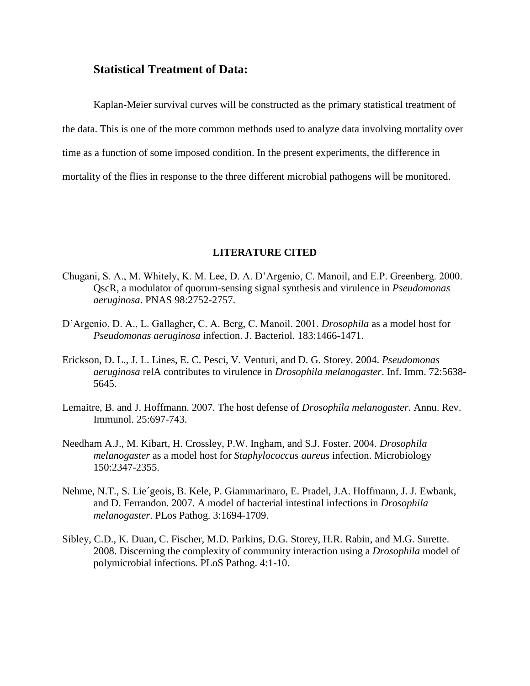### **Statistical Treatment of Data:**

Kaplan-Meier survival curves will be constructed as the primary statistical treatment of the data. This is one of the more common methods used to analyze data involving mortality over time as a function of some imposed condition. In the present experiments, the difference in mortality of the flies in response to the three different microbial pathogens will be monitored.

#### **LITERATURE CITED**

- Chugani, S. A., M. Whitely, K. M. Lee, D. A. D'Argenio, C. Manoil, and E.P. Greenberg. 2000. QscR, a modulator of quorum-sensing signal synthesis and virulence in *Pseudomonas aeruginosa*. PNAS 98:2752-2757.
- D'Argenio, D. A., L. Gallagher, C. A. Berg, C. Manoil. 2001. *Drosophila* as a model host for *Pseudomonas aeruginosa* infection. J. Bacteriol. 183:1466-1471.
- Erickson, D. L., J. L. Lines, E. C. Pesci, V. Venturi, and D. G. Storey. 2004. *Pseudomonas aeruginosa* relA contributes to virulence in *Drosophila melanogaster*. Inf. Imm. 72:5638- 5645.
- Lemaitre, B. and J. Hoffmann. 2007. The host defense of *Drosophila melanogaster*. Annu. Rev. Immunol. 25:697-743.
- Needham A.J., M. Kibart, H. Crossley, P.W. Ingham, and S.J. Foster. 2004. *Drosophila melanogaster* as a model host for *Staphylococcus aureus* infection. Microbiology 150:2347-2355.
- Nehme, N.T., S. Lie´geois, B. Kele, P. Giammarinaro, E. Pradel, J.A. Hoffmann, J. J. Ewbank, and D. Ferrandon. 2007. A model of bacterial intestinal infections in *Drosophila melanogaster*. PLos Pathog. 3:1694-1709.
- Sibley, C.D., K. Duan, C. Fischer, M.D. Parkins, D.G. Storey, H.R. Rabin, and M.G. Surette. 2008. Discerning the complexity of community interaction using a *Drosophila* model of polymicrobial infections. PLoS Pathog. 4:1-10.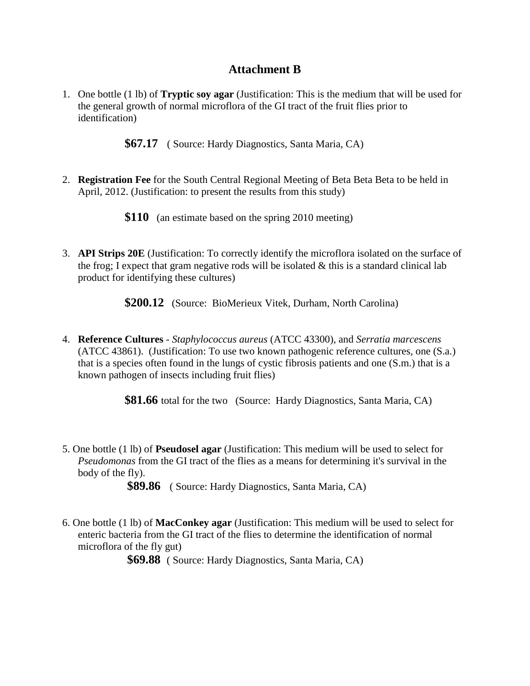# **Attachment B**

1. One bottle (1 lb) of **Tryptic soy agar** (Justification: This is the medium that will be used for the general growth of normal microflora of the GI tract of the fruit flies prior to identification)

**\$67.17** ( Source: Hardy Diagnostics, Santa Maria, CA)

2. **Registration Fee** for the South Central Regional Meeting of Beta Beta Beta to be held in April, 2012. (Justification: to present the results from this study)

**\$110** (an estimate based on the spring 2010 meeting)

3. **API Strips 20E** (Justification: To correctly identify the microflora isolated on the surface of the frog; I expect that gram negative rods will be isolated  $\&$  this is a standard clinical lab product for identifying these cultures)

**\$200.12** (Source: BioMerieux Vitek, Durham, North Carolina)

4. **Reference Cultures** - *Staphylococcus aureus* (ATCC 43300), and *Serratia marcescens* (ATCC 43861). (Justification: To use two known pathogenic reference cultures, one (S.a.) that is a species often found in the lungs of cystic fibrosis patients and one (S.m.) that is a known pathogen of insects including fruit flies)

**\$81.66** total for the two (Source: Hardy Diagnostics, Santa Maria, CA)

5. One bottle (1 lb) of **Pseudosel agar** (Justification: This medium will be used to select for *Pseudomonas* from the GI tract of the flies as a means for determining it's survival in the body of the fly).

**\$89.86** ( Source: Hardy Diagnostics, Santa Maria, CA)

6. One bottle (1 lb) of **MacConkey agar** (Justification: This medium will be used to select for enteric bacteria from the GI tract of the flies to determine the identification of normal microflora of the fly gut)

**\$69.88** ( Source: Hardy Diagnostics, Santa Maria, CA)